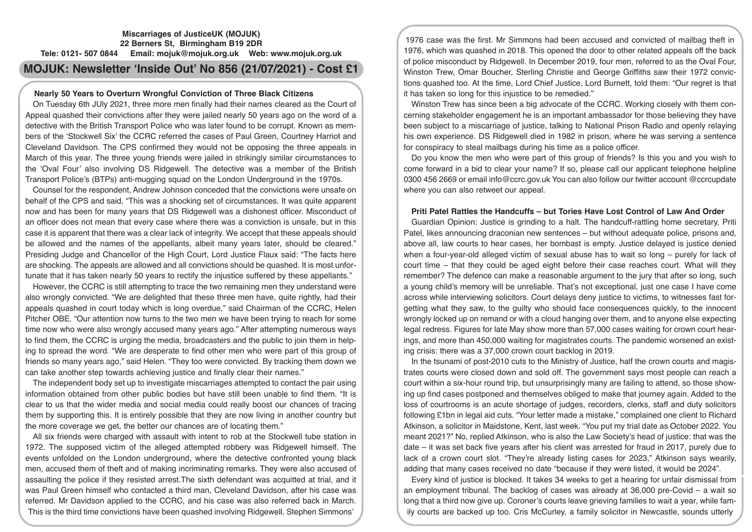# **Miscarriages of JusticeUK (MOJUK) 22 Berners St, Birmingham B19 2DR Tele: 0121- 507 0844 Email: mojuk@mojuk.org.uk Web: www.mojuk.org.uk**

# **MOJUK: Newsletter 'Inside Out' No 856 (21/07/2021) - Cost £1**

## **Nearly 50 Years to Overturn Wrongful Conviction of Three Black Citizens**

On Tuesday 6th JUly 2021, three more men finally had their names cleared as the Court of Appeal quashed their convictions after they were jailed nearly 50 years ago on the word of a detective with the British Transport Police who was later found to be corrupt. Known as members of the 'Stockwell Six' the CCRC referred the cases of Paul Green, Courtney Harriot and Cleveland Davidson. The CPS confirmed they would not be opposing the three appeals in March of this year. The three young friends were jailed in strikingly similar circumstances to the 'Oval Four' also involving DS Ridgewell. The detective was a member of the British Transport Police's (BTPs) anti-mugging squad on the London Underground in the 1970s.

Counsel for the respondent, Andrew Johnson conceded that the convictions were unsafe on behalf of the CPS and said, "This was a shocking set of circumstances. It was quite apparent now and has been for many years that DS Ridgewell was a dishonest officer. Misconduct of an officer does not mean that every case where there was a conviction is unsafe, but in this case it is apparent that there was a clear lack of integrity. We accept that these appeals should be allowed and the names of the appellants, albeit many years later, should be cleared." Presiding Judge and Chancellor of the High Court, Lord Justice Flaux said: "The facts here are shocking. The appeals are allowed and all convictions should be quashed. It is most unfortunate that it has taken nearly 50 years to rectify the injustice suffered by these appellants."

However, the CCRC is still attempting to trace the two remaining men they understand were also wrongly convicted. "We are delighted that these three men have, quite rightly, had their appeals quashed in court today which is long overdue," said Chairman of the CCRC, Helen Pitcher OBE. "Our attention now turns to the two men we have been trying to reach for some time now who were also wrongly accused many years ago." After attempting numerous ways to find them, the CCRC is urging the media, broadcasters and the public to join them in helping to spread the word. "We are desperate to find other men who were part of this group of friends so many years ago," said Helen. "They too were convicted. By tracking them down we can take another step towards achieving justice and finally clear their names."

The independent body set up to investigate miscarriages attempted to contact the pair using information obtained from other public bodies but have still been unable to find them. "It is clear to us that the wider media and social media could really boost our chances of tracing them by supporting this. It is entirely possible that they are now living in another country but the more coverage we get, the better our chances are of locating them."

All six friends were charged with assault with intent to rob at the Stockwell tube station in 1972. The supposed victim of the alleged attempted robbery was Ridgewell himself. The events unfolded on the London underground, where the detective confronted young black men, accused them of theft and of making incriminating remarks. They were also accused of assaulting the police if they resisted arrest.The sixth defendant was acquitted at trial, and it was Paul Green himself who contacted a third man, Cleveland Davidson, after his case was referred. Mr Davidson applied to the CCRC, and his case was also referred back in March. This is the third time convictions have been quashed involving Ridgewell. Stephen Simmons'

1976 case was the first. Mr Simmons had been accused and convicted of mailbag theft in 1976, which was quashed in 2018. This opened the door to other related appeals off the back of police misconduct by Ridgewell. In December 2019, four men, referred to as the Oval Four, Winston Trew, Omar Boucher, Sterling Christie and George Griffiths saw their 1972 convictions quashed too. At the time, Lord Chief Justice, Lord Burnett, told them: "Our regret is that it has taken so long for this injustice to be remedied."

Winston Trew has since been a big advocate of the CCRC. Working closely with them concerning stakeholder engagement he is an important ambassador for those believing they have been subject to a miscarriage of justice, talking to National Prison Radio and openly relaying his own experience. DS Ridgewell died in 1982 in prison, where he was serving a sentence for conspiracy to steal mailbags during his time as a police officer.

Do you know the men who were part of this group of friends? Is this you and you wish to come forward in a bid to clear your name? If so, please call our applicant telephone helpline 0300 456 2669 or email info@ccrc.gov.uk You can also follow our twitter account @ccrcupdate where you can also retweet our appeal.

## **Priti Patel Rattles the Handcuffs – but Tories Have Lost Control of Law And Order**

Guardian Opinion: Justice is grinding to a halt. The handcuff-rattling home secretary, Priti Patel, likes announcing draconian new sentences – but without adequate police, prisons and, above all, law courts to hear cases, her bombast is empty. Justice delayed is justice denied when a four-year-old alleged victim of sexual abuse has to wait so long – purely for lack of court time – that they could be aged eight before their case reaches court. What will they remember? The defence can make a reasonable argument to the jury that after so long, such a young child's memory will be unreliable. That's not exceptional, just one case I have come across while interviewing solicitors. Court delays deny justice to victims, to witnesses fast forgetting what they saw, to the guilty who should face consequences quickly, to the innocent wrongly locked up on remand or with a cloud hanging over them, and to anyone else expecting legal redress. Figures for late May show more than 57,000 cases waiting for crown court hearings, and more than 450,000 waiting for magistrates courts. The pandemic worsened an existing crisis: there was a 37,000 crown court backlog in 2019.

In the tsunami of post-2010 cuts to the Ministry of Justice, half the crown courts and magistrates courts were closed down and sold off. The government says most people can reach a court within a six-hour round trip, but unsurprisingly many are failing to attend, so those showing up find cases postponed and themselves obliged to make that journey again. Added to the loss of courtrooms is an acute shortage of judges, recorders, clerks, staff and duty solicitors following £1bn in legal aid cuts. "Your letter made a mistake," complained one client to Richard Atkinson, a solicitor in Maidstone, Kent, last week. "You put my trial date as October 2022. You meant 2021?" No, replied Atkinson, who is also the Law Society's head of justice: that was the date – it was set back five years after his client was arrested for fraud in 2017, purely due to lack of a crown court slot. "They're already listing cases for 2023," Atkinson says wearily, adding that many cases received no date "because if they were listed, it would be 2024".

Every kind of justice is blocked. It takes 34 weeks to get a hearing for unfair dismissal from an employment tribunal. The backlog of cases was already at 36,000 pre-Covid – a wait so long that a third now give up. Coroner's courts leave grieving families to wait a year, while family courts are backed up too. Cris McCurley, a family solicitor in Newcastle, sounds utterly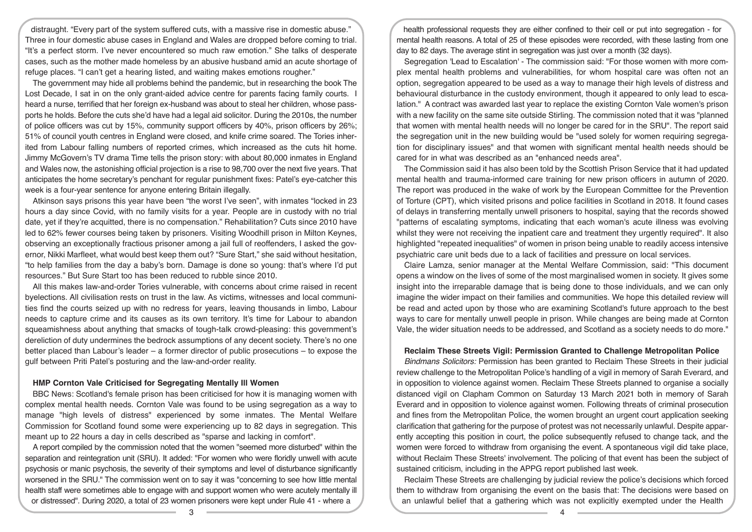distraught. "Every part of the system suffered cuts, with a massive rise in domestic abuse." Three in four domestic abuse cases in England and Wales are dropped before coming to trial. "It's a perfect storm. I've never encountered so much raw emotion." She talks of desperate cases, such as the mother made homeless by an abusive husband amid an acute shortage of refuge places. "I can't get a hearing listed, and waiting makes emotions rougher."

The government may hide all problems behind the pandemic, but in researching the book The Lost Decade, I sat in on the only grant-aided advice centre for parents facing family courts. I heard a nurse, terrified that her foreign ex-husband was about to steal her children, whose passports he holds. Before the cuts she'd have had a legal aid solicitor. During the 2010s, the number of police officers was cut by 15%, community support officers by 40%, prison officers by 26%; 51% of council youth centres in England were closed, and knife crime soared. The Tories inherited from Labour falling numbers of reported crimes, which increased as the cuts hit home. Jimmy McGovern's TV drama Time tells the prison story: with about 80,000 inmates in England and Wales now, the astonishing official projection is a rise to 98,700 over the next five years. That anticipates the home secretary's penchant for regular punishment fixes: Patel's eye-catcher this week is a four-year sentence for anyone entering Britain illegally.

Atkinson says prisons this year have been "the worst I've seen", with inmates "locked in 23 hours a day since Covid, with no family visits for a year. People are in custody with no trial date, yet if they're acquitted, there is no compensation." Rehabilitation? Cuts since 2010 have led to 62% fewer courses being taken by prisoners. Visiting Woodhill prison in Milton Keynes, observing an exceptionally fractious prisoner among a jail full of reoffenders, I asked the governor, Nikki Marfleet, what would best keep them out? "Sure Start," she said without hesitation, "to help families from the day a baby's born. Damage is done so young: that's where I'd put resources." But Sure Start too has been reduced to rubble since 2010.

All this makes law-and-order Tories vulnerable, with concerns about crime raised in recent byelections. All civilisation rests on trust in the law. As victims, witnesses and local communities find the courts seized up with no redress for years, leaving thousands in limbo, Labour needs to capture crime and its causes as its own territory. It's time for Labour to abandon squeamishness about anything that smacks of tough-talk crowd-pleasing: this government's dereliction of duty undermines the bedrock assumptions of any decent society. There's no one better placed than Labour's leader – a former director of public prosecutions – to expose the gulf between Priti Patel's posturing and the law-and-order reality.

### **HMP Cornton Vale Criticised for Segregating Mentally Ill Women**

BBC News: Scotland's female prison has been criticised for how it is managing women with complex mental health needs. Cornton Vale was found to be using segregation as a way to manage "high levels of distress" experienced by some inmates. The Mental Welfare Commission for Scotland found some were experiencing up to 82 days in segregation. This meant up to 22 hours a day in cells described as "sparse and lacking in comfort".

A report compiled by the commission noted that the women "seemed more disturbed" within the separation and reintegration unit (SRU). It added: "For women who were floridly unwell with acute psychosis or manic psychosis, the severity of their symptoms and level of disturbance significantly worsened in the SRU." The commission went on to say it was "concerning to see how little mental health staff were sometimes able to engage with and support women who were acutely mentally ill or distressed". During 2020, a total of 23 women prisoners were kept under Rule 41 - where a

health professional requests they are either confined to their cell or put into segregation - for mental health reasons. A total of 25 of these episodes were recorded, with these lasting from one day to 82 days. The average stint in segregation was just over a month (32 days).

Segregation 'Lead to Escalation' - The commission said: "For those women with more complex mental health problems and vulnerabilities, for whom hospital care was often not an option, segregation appeared to be used as a way to manage their high levels of distress and behavioural disturbance in the custody environment, though it appeared to only lead to escalation." A contract was awarded last year to replace the existing Cornton Vale women's prison with a new facility on the same site outside Stirling. The commission noted that it was "planned that women with mental health needs will no longer be cared for in the SRU". The report said the segregation unit in the new building would be "used solely for women requiring segregation for disciplinary issues" and that women with significant mental health needs should be cared for in what was described as an "enhanced needs area".

The Commission said it has also been told by the Scottish Prison Service that it had updated mental health and trauma-informed care training for new prison officers in autumn of 2020. The report was produced in the wake of work by the European Committee for the Prevention of Torture (CPT), which visited prisons and police facilities in Scotland in 2018. It found cases of delays in transferring mentally unwell prisoners to hospital, saying that the records showed "patterns of escalating symptoms, indicating that each woman's acute illness was evolving whilst they were not receiving the inpatient care and treatment they urgently required". It also highlighted "repeated inequalities" of women in prison being unable to readily access intensive psychiatric care unit beds due to a lack of facilities and pressure on local services.

Claire Lamza, senior manager at the Mental Welfare Commission, said: "This document opens a window on the lives of some of the most marginalised women in society. It gives some insight into the irreparable damage that is being done to those individuals, and we can only imagine the wider impact on their families and communities. We hope this detailed review will be read and acted upon by those who are examining Scotland's future approach to the best ways to care for mentally unwell people in prison. While changes are being made at Cornton Vale, the wider situation needs to be addressed, and Scotland as a society needs to do more."

## **Reclaim These Streets Vigil: Permission Granted to Challenge Metropolitan Police**

*Bindmans Solicitors:* Permission has been granted to Reclaim These Streets in their judicial review challenge to the Metropolitan Police's handling of a vigil in memory of Sarah Everard, and in opposition to violence against women. Reclaim These Streets planned to organise a socially distanced vigil on Clapham Common on Saturday 13 March 2021 both in memory of Sarah Everard and in opposition to violence against women. Following threats of criminal prosecution and fines from the Metropolitan Police, the women brought an urgent court application seeking clarification that gathering for the purpose of protest was not necessarily unlawful. Despite apparently accepting this position in court, the police subsequently refused to change tack, and the women were forced to withdraw from organising the event. A spontaneous vigil did take place, without Reclaim These Streets' involvement. The policing of that event has been the subject of sustained criticism, including in the APPG report published last week.

Reclaim These Streets are challenging by judicial review the police's decisions which forced them to withdraw from organising the event on the basis that: The decisions were based on an unlawful belief that a gathering which was not explicitly exempted under the Health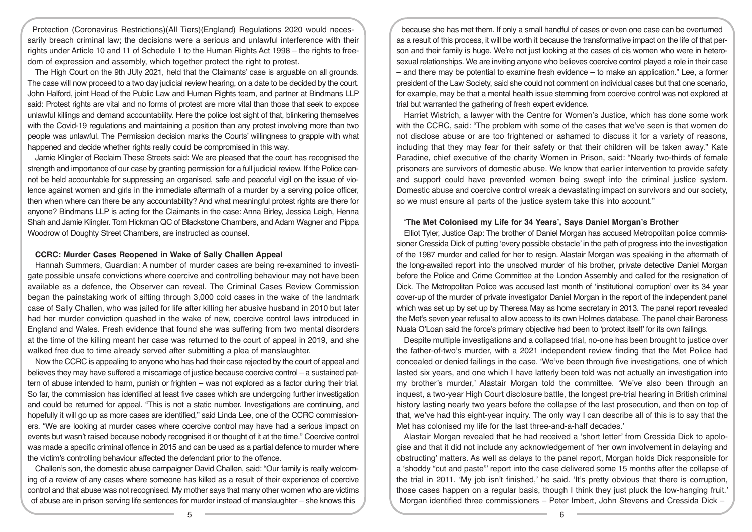Protection (Coronavirus Restrictions)(All Tiers)(England) Regulations 2020 would necessarily breach criminal law; the decisions were a serious and unlawful interference with their rights under Article 10 and 11 of Schedule 1 to the Human Rights Act 1998 – the rights to freedom of expression and assembly, which together protect the right to protest.

The High Court on the 9th JUly 2021, held that the Claimants' case is arguable on all grounds. The case will now proceed to a two day judicial review hearing, on a date to be decided by the court. John Halford, joint Head of the Public Law and Human Rights team, and partner at Bindmans LLP said: Protest rights are vital and no forms of protest are more vital than those that seek to expose unlawful killings and demand accountability. Here the police lost sight of that, blinkering themselves with the Covid-19 regulations and maintaining a position than any protest involving more than two people was unlawful. The Permission decision marks the Courts' willingness to grapple with what happened and decide whether rights really could be compromised in this way.

Jamie Klingler of Reclaim These Streets said: We are pleased that the court has recognised the strength and importance of our case by granting permission for a full judicial review. If the Police cannot be held accountable for suppressing an organised, safe and peaceful vigil on the issue of violence against women and girls in the immediate aftermath of a murder by a serving police officer, then when where can there be any accountability? And what meaningful protest rights are there for anyone? Bindmans LLP is acting for the Claimants in the case: Anna Birley, Jessica Leigh, Henna Shah and Jamie Klingler. Tom Hickman QC of Blackstone Chambers, and Adam Wagner and Pippa Woodrow of Doughty Street Chambers, are instructed as counsel.

## **CCRC: Murder Cases Reopened in Wake of Sally Challen Appeal**

Hannah Summers, Guardian: A number of murder cases are being re-examined to investigate possible unsafe convictions where coercive and controlling behaviour may not have been available as a defence, the Observer can reveal. The Criminal Cases Review Commission began the painstaking work of sifting through 3,000 cold cases in the wake of the landmark case of Sally Challen, who was jailed for life after killing her abusive husband in 2010 but later had her murder conviction quashed in the wake of new, coercive control laws introduced in England and Wales. Fresh evidence that found she was suffering from two mental disorders at the time of the killing meant her case was returned to the court of appeal in 2019, and she walked free due to time already served after submitting a plea of manslaughter.

Now the CCRC is appealing to anyone who has had their case rejected by the court of appeal and believes they may have suffered a miscarriage of justice because coercive control – a sustained pattern of abuse intended to harm, punish or frighten – was not explored as a factor during their trial. So far, the commission has identified at least five cases which are undergoing further investigation and could be returned for appeal. "This is not a static number. Investigations are continuing, and hopefully it will go up as more cases are identified," said Linda Lee, one of the CCRC commissioners. "We are looking at murder cases where coercive control may have had a serious impact on events but wasn't raised because nobody recognised it or thought of it at the time." Coercive control was made a specific criminal offence in 2015 and can be used as a partial defence to murder where the victim's controlling behaviour affected the defendant prior to the offence.

Challen's son, the domestic abuse campaigner David Challen, said: "Our family is really welcoming of a review of any cases where someone has killed as a result of their experience of coercive control and that abuse was not recognised. My mother says that many other women who are victims of abuse are in prison serving life sentences for murder instead of manslaughter – she knows this

because she has met them. If only a small handful of cases or even one case can be overturned as a result of this process, it will be worth it because the transformative impact on the life of that person and their family is huge. We're not just looking at the cases of cis women who were in heterosexual relationships. We are inviting anyone who believes coercive control played a role in their case – and there may be potential to examine fresh evidence – to make an application." Lee, a former president of the Law Society, said she could not comment on individual cases but that one scenario, for example, may be that a mental health issue stemming from coercive control was not explored at trial but warranted the gathering of fresh expert evidence.

Harriet Wistrich, a lawyer with the Centre for Women's Justice, which has done some work with the CCRC, said: "The problem with some of the cases that we've seen is that women do not disclose abuse or are too frightened or ashamed to discuss it for a variety of reasons, including that they may fear for their safety or that their children will be taken away." Kate Paradine, chief executive of the charity Women in Prison, said: "Nearly two-thirds of female prisoners are survivors of domestic abuse. We know that earlier intervention to provide safety and support could have prevented women being swept into the criminal justice system. Domestic abuse and coercive control wreak a devastating impact on survivors and our society, so we must ensure all parts of the justice system take this into account."

## **'The Met Colonised my Life for 34 Years', Says Daniel Morgan's Brother**

Elliot Tyler, Justice Gap: The brother of Daniel Morgan has accused Metropolitan police commissioner Cressida Dick of putting 'every possible obstacle' in the path of progress into the investigation of the 1987 murder and called for her to resign. Alastair Morgan was speaking in the aftermath of the long-awaited report into the unsolved murder of his brother, private detective Daniel Morgan before the Police and Crime Committee at the London Assembly and called for the resignation of Dick. The Metropolitan Police was accused last month of 'institutional corruption' over its 34 year cover-up of the murder of private investigator Daniel Morgan in the report of the independent panel which was set up by set up by Theresa May as home secretary in 2013. The panel report revealed the Met's seven year refusal to allow access to its own Holmes database. The panel chair Baroness Nuala O'Loan said the force's primary objective had been to 'protect itself' for its own failings.

Despite multiple investigations and a collapsed trial, no-one has been brought to justice over the father-of-two's murder, with a 2021 independent review finding that the Met Police had concealed or denied failings in the case. 'We've been through five investigations, one of which lasted six years, and one which I have latterly been told was not actually an investigation into my brother's murder,' Alastair Morgan told the committee. 'We've also been through an inquest, a two-year High Court disclosure battle, the longest pre-trial hearing in British criminal history lasting nearly two years before the collapse of the last prosecution, and then on top of that, we've had this eight-year inquiry. The only way I can describe all of this is to say that the Met has colonised my life for the last three-and-a-half decades.'

Alastair Morgan revealed that he had received a 'short letter' from Cressida Dick to apologise and that it did not include any acknowledgement of 'her own involvement in delaying and obstructing' matters. As well as delays to the panel report, Morgan holds Dick responsible for a 'shoddy "cut and paste"' report into the case delivered some 15 months after the collapse of the trial in 2011. 'My job isn't finished,' he said. 'It's pretty obvious that there is corruption, those cases happen on a regular basis, though I think they just pluck the low-hanging fruit.' Morgan identified three commissioners – Peter Imbert, John Stevens and Cressida Dick –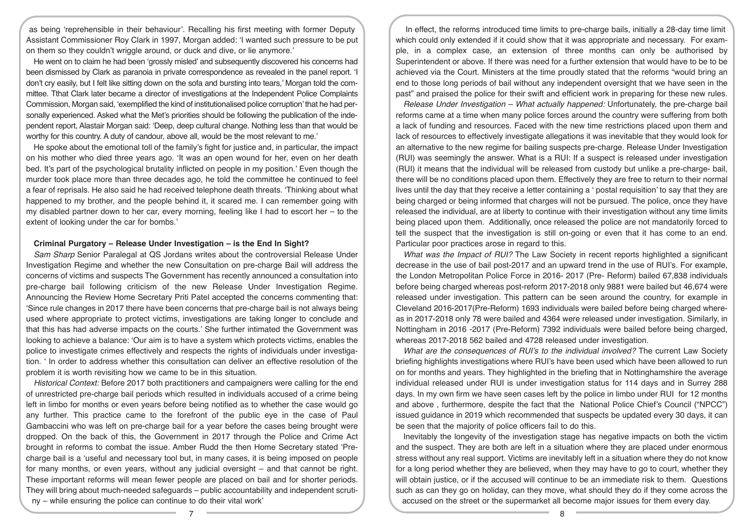as being 'reprehensible in their behaviour'. Recalling his first meeting with former Deputy Assistant Commissioner Roy Clark in 1997, Morgan added: 'I wanted such pressure to be put on them so they couldn't wriggle around, or duck and dive, or lie anymore.'

He went on to claim he had been 'grossly misled' and subsequently discovered his concerns had been dismissed by Clark as paranoia in private correspondence as revealed in the panel report. 'I don't cry easily, but I felt like sitting down on the sofa and bursting into tears,' Morgan told the committee. Tthat Clark later became a director of investigations at the Independent Police Complaints Commission, Morgan said, 'exemplified the kind of institutionalised police corruption' that he had personally experienced. Asked what the Met's priorities should be following the publication of the independent report, Alastair Morgan said: 'Deep, deep cultural change. Nothing less than that would be worthy for this country. A duty of candour, above all, would be the most relevant to me.'

He spoke about the emotional toll of the family's fight for justice and, in particular, the impact on his mother who died three years ago. 'It was an open wound for her, even on her death bed. It's part of the psychological brutality inflicted on people in my position.' Even though the murder took place more than three decades ago, he told the committee he continued to feel a fear of reprisals. He also said he had received telephone death threats. 'Thinking about what happened to my brother, and the people behind it, it scared me. I can remember going with my disabled partner down to her car, every morning, feeling like I had to escort her – to the extent of looking under the car for bombs.'

#### **Criminal Purgatory – Release Under Investigation – is the End In Sight?**

*Sam Sharp* Senior Paralegal at QS Jordans writes about the controversial Release Under Investigation Regime and whether the new Consultation on pre-charge Bail will address the concerns of victims and suspects The Government has recently announced a consultation into pre-charge bail following criticism of the new Release Under Investigation Regime. Announcing the Review Home Secretary Priti Patel accepted the concerns commenting that: 'Since rule changes in 2017 there have been concerns that pre-charge bail is not always being used where appropriate to protect victims, investigations are taking longer to conclude and that this has had adverse impacts on the courts.' She further intimated the Government was looking to achieve a balance: 'Our aim is to have a system which protects victims, enables the police to investigate crimes effectively and respects the rights of individuals under investigation. ' In order to address whether this consultation can deliver an effective resolution of the problem it is worth revisiting how we came to be in this situation.

*Historical Context:* Before 2017 both practitioners and campaigners were calling for the end of unrestricted pre-charge bail periods which resulted in individuals accused of a crime being left in limbo for months or even years before being notified as to whether the case would go any further. This practice came to the forefront of the public eye in the case of Paul Gambaccini who was left on pre-charge bail for a year before the cases being brought were dropped. On the back of this, the Government in 2017 through the Police and Crime Act brought in reforms to combat the issue. Amber Rudd the then Home Secretary stated 'Precharge bail is a 'useful and necessary tool but, in many cases, it is being imposed on people for many months, or even years, without any judicial oversight – and that cannot be right. These important reforms will mean fewer people are placed on bail and for shorter periods. They will bring about much-needed safeguards – public accountability and independent scrutiny – while ensuring the police can continue to do their vital work'

In effect, the reforms introduced time limits to pre-charge bails, initially a 28-day time limit which could only extended if it could show that it was appropriate and necessary. For example, in a complex case, an extension of three months can only be authorised by Superintendent or above. If there was need for a further extension that would have to be to be achieved via the Court. Ministers at the time proudly stated that the reforms "would bring an end to those long periods of bail without any independent oversight that we have seen in the past" and praised the police for their swift and efficient work in preparing for these new rules.

*Release Under Investigation – What actually happened:* Unfortunately, the pre-charge bail reforms came at a time when many police forces around the country were suffering from both a lack of funding and resources. Faced with the new time restrictions placed upon them and lack of resources to effectively investigate allegations it was inevitable that they would look for an alternative to the new regime for bailing suspects pre-charge. Release Under Investigation (RUI) was seemingly the answer. What is a RUI: If a suspect is released under investigation (RUI) it means that the individual will be released from custody but unlike a pre-charge- bail, there will be no conditions placed upon them. Effectively they are free to return to their normal lives until the day that they receive a letter containing a ' postal requisition' to say that they are being charged or being informed that charges will not be pursued. The police, once they have released the individual, are at liberty to continue with their investigation without any time limits being placed upon them. Additionally, once released the police are not mandatorily forced to tell the suspect that the investigation is still on-going or even that it has come to an end. Particular poor practices arose in regard to this.

*What was the Impact of RUI?* The Law Society in recent reports highlighted a significant decrease in the use of bail post-2017 and an upward trend in the use of RUI's. For example, the London Metropolitan Police Force in 2016- 2017 (Pre- Reform) bailed 67,838 individuals before being charged whereas post-reform 2017-2018 only 9881 were bailed but 46,674 were released under investigation. This pattern can be seen around the country, for example in Cleveland 2016-2017(Pre-Reform) 1693 individuals were bailed before being charged whereas in 2017-2018 only 78 were bailed and 4364 were released under investigation. Similarly, in Nottingham in 2016 -2017 (Pre-Reform) 7392 individuals were bailed before being charged, whereas 2017-2018 562 bailed and 4728 released under investigation.

*What are the consequences of RUI's to the individual involved?* The current Law Society briefing highlights investigations where RUI's have been used which have been allowed to run on for months and years. They highlighted in the briefing that in Nottinghamshire the average individual released under RUI is under investigation status for 114 days and in Surrey 288 days. In my own firm we have seen cases left by the police in limbo under RUI for 12 months and above , furthermore, despite the fact that the National Police Chief's Council ("NPCC") issued guidance in 2019 which recommended that suspects be updated every 30 days, it can be seen that the majority of police officers fail to do this.

Inevitably the longevity of the investigation stage has negative impacts on both the victim and the suspect. They are both are left in a situation where they are placed under enormous stress without any real support. Victims are inevitably left in a situation where they do not know for a long period whether they are believed, when they may have to go to court, whether they will obtain justice, or if the accused will continue to be an immediate risk to them. Questions such as can they go on holiday, can they move, what should they do if they come across the accused on the street or the supermarket all become major issues for them every day.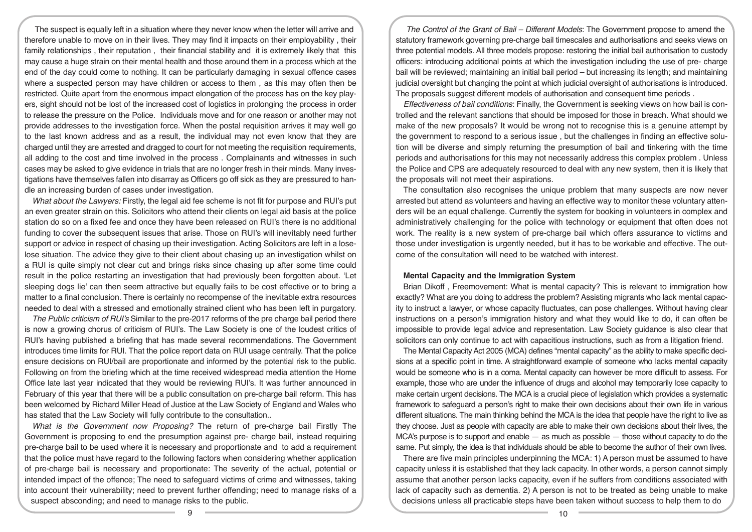The suspect is equally left in a situation where they never know when the letter will arrive and therefore unable to move on in their lives. They may find it impacts on their employability , their family relationships , their reputation , their financial stability and it is extremely likely that this may cause a huge strain on their mental health and those around them in a process which at the end of the day could come to nothing. It can be particularly damaging in sexual offence cases where a suspected person may have children or access to them , as this may often then be restricted. Quite apart from the enormous impact elongation of the process has on the key players, sight should not be lost of the increased cost of logistics in prolonging the process in order to release the pressure on the Police. Individuals move and for one reason or another may not provide addresses to the investigation force. When the postal requisition arrives it may well go to the last known address and as a result, the individual may not even know that they are charged until they are arrested and dragged to court for not meeting the requisition requirements, all adding to the cost and time involved in the process . Complainants and witnesses in such cases may be asked to give evidence in trials that are no longer fresh in their minds. Many investigations have themselves fallen into disarray as Officers go off sick as they are pressured to handle an increasing burden of cases under investigation.

*What about the Lawyers:* Firstly, the legal aid fee scheme is not fit for purpose and RUI's put an even greater strain on this. Solicitors who attend their clients on legal aid basis at the police station do so on a fixed fee and once they have been released on RUI's there is no additional funding to cover the subsequent issues that arise. Those on RUI's will inevitably need further support or advice in respect of chasing up their investigation. Acting Solicitors are left in a loselose situation. The advice they give to their client about chasing up an investigation whilst on a RUI is quite simply not clear cut and brings risks since chasing up after some time could result in the police restarting an investigation that had previously been forgotten about. 'Let sleeping dogs lie' can then seem attractive but equally fails to be cost effective or to bring a matter to a final conclusion. There is certainly no recompense of the inevitable extra resources needed to deal with a stressed and emotionally strained client who has been left in purgatory.

*The Public criticism of RUI's* Similar to the pre-2017 reforms of the pre charge bail period there is now a growing chorus of criticism of RUI's. The Law Society is one of the loudest critics of RUI's having published a briefing that has made several recommendations. The Government introduces time limits for RUI. That the police report data on RUI usage centrally. That the police ensure decisions on RUI/bail are proportionate and informed by the potential risk to the public. Following on from the briefing which at the time received widespread media attention the Home Office late last year indicated that they would be reviewing RUI's. It was further announced in February of this year that there will be a public consultation on pre-charge bail reform. This has been welcomed by Richard Miller Head of Justice at the Law Society of England and Wales who has stated that the Law Society will fully contribute to the consultation..

*What is the Government now Proposing?* The return of pre-charge bail Firstly The Government is proposing to end the presumption against pre- charge bail, instead requiring pre-charge bail to be used where it is necessary and proportionate and to add a requirement that the police must have regard to the following factors when considering whether application of pre-charge bail is necessary and proportionate: The severity of the actual, potential or intended impact of the offence; The need to safeguard victims of crime and witnesses, taking into account their vulnerability; need to prevent further offending; need to manage risks of a suspect absconding; and need to manage risks to the public.

*The Control of the Grant of Bail – Different Models*: The Government propose to amend the statutory framework governing pre-charge bail timescales and authorisations and seeks views on three potential models. All three models propose: restoring the initial bail authorisation to custody officers: introducing additional points at which the investigation including the use of pre- charge bail will be reviewed; maintaining an initial bail period – but increasing its length; and maintaining judicial oversight but changing the point at which judicial oversight of authorisations is introduced. The proposals suggest different models of authorisation and consequent time periods .

*Effectiveness of bail conditions*: Finally, the Government is seeking views on how bail is controlled and the relevant sanctions that should be imposed for those in breach. What should we make of the new proposals? It would be wrong not to recognise this is a genuine attempt by the government to respond to a serious issue , but the challenges in finding an effective solution will be diverse and simply returning the presumption of bail and tinkering with the time periods and authorisations for this may not necessarily address this complex problem . Unless the Police and CPS are adequately resourced to deal with any new system, then it is likely that the proposals will not meet their aspirations.

The consultation also recognises the unique problem that many suspects are now never arrested but attend as volunteers and having an effective way to monitor these voluntary attenders will be an equal challenge. Currently the system for booking in volunteers in complex and administratively challenging for the police with technology or equipment that often does not work. The reality is a new system of pre-charge bail which offers assurance to victims and those under investigation is urgently needed, but it has to be workable and effective. The outcome of the consultation will need to be watched with interest.

## **Mental Capacity and the Immigration System**

Brian Dikoff , Freemovement: What is mental capacity? This is relevant to immigration how exactly? What are you doing to address the problem? Assisting migrants who lack mental capacity to instruct a lawyer, or whose capacity fluctuates, can pose challenges. Without having clear instructions on a person's immigration history and what they would like to do, it can often be impossible to provide legal advice and representation. Law Society guidance is also clear that solicitors can only continue to act with capacitious instructions, such as from a litigation friend.

The Mental Capacity Act 2005 (MCA) defines "mental capacity" as the ability to make specific decisions at a specific point in time. A straightforward example of someone who lacks mental capacity would be someone who is in a coma. Mental capacity can however be more difficult to assess. For example, those who are under the influence of drugs and alcohol may temporarily lose capacity to make certain urgent decisions. The MCA is a crucial piece of legislation which provides a systematic framework to safeguard a person's right to make their own decisions about their own life in various different situations. The main thinking behind the MCA is the idea that people have the right to live as they choose. Just as people with capacity are able to make their own decisions about their lives, the MCA's purpose is to support and enable — as much as possible — those without capacity to do the same. Put simply, the idea is that individuals should be able to become the author of their own lives.

There are five main principles underpinning the MCA: 1) A person must be assumed to have capacity unless it is established that they lack capacity. In other words, a person cannot simply assume that another person lacks capacity, even if he suffers from conditions associated with lack of capacity such as dementia. 2) A person is not to be treated as being unable to make decisions unless all practicable steps have been taken without success to help them to do